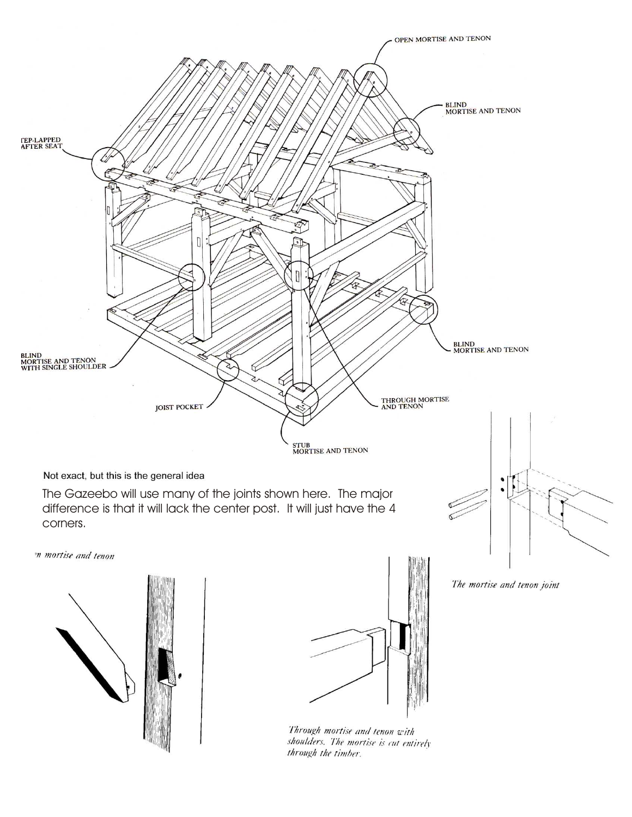

Through mortise and tenon with shoulders. The mortise is cut entirely through the timber.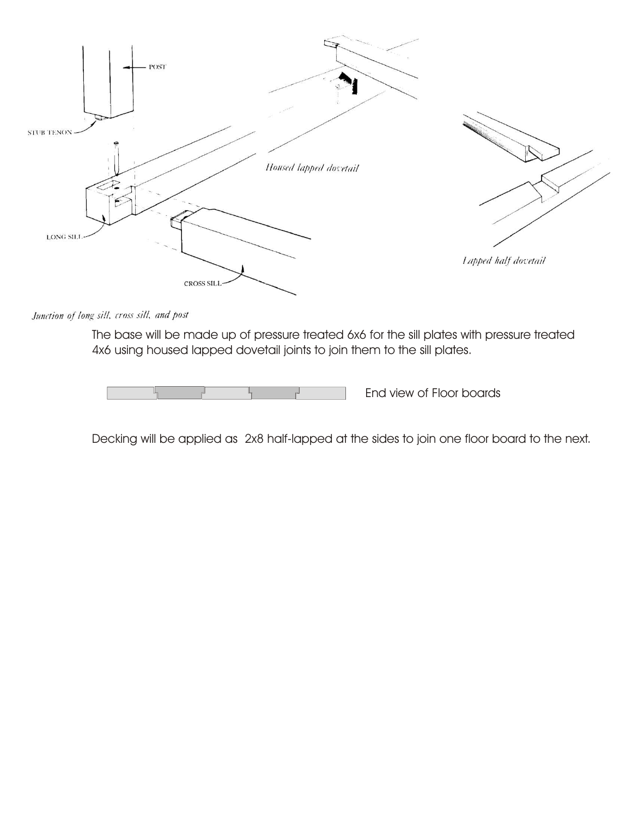

Junction of long sill, cross sill, and post

The base will be made up of pressure treated 6x6 for the sill plates with pressure treated 4x6 using housed lapped dovetail joints to join them to the sill plates.

End view of Floor boards

Decking will be applied as 2x8 half-lapped at the sides to join one floor board to the next.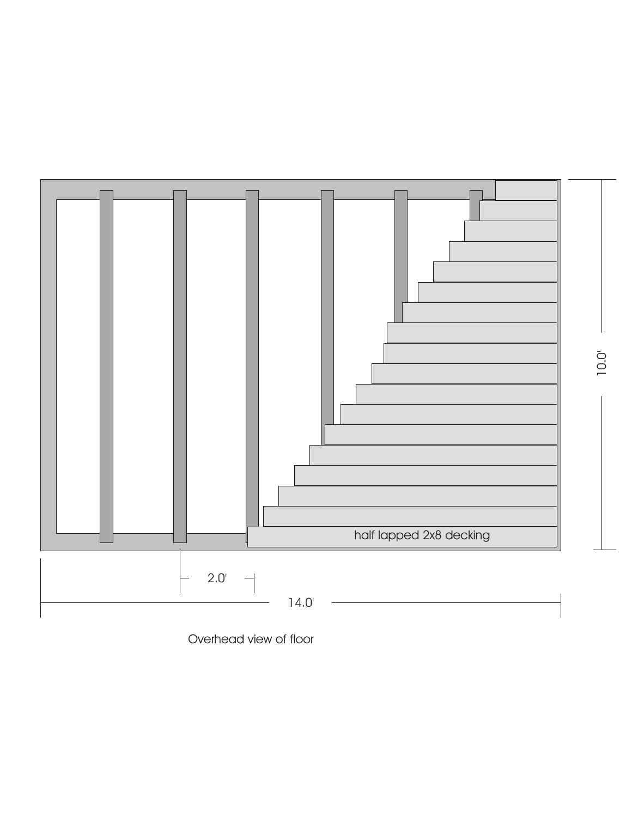

Overhead view of floor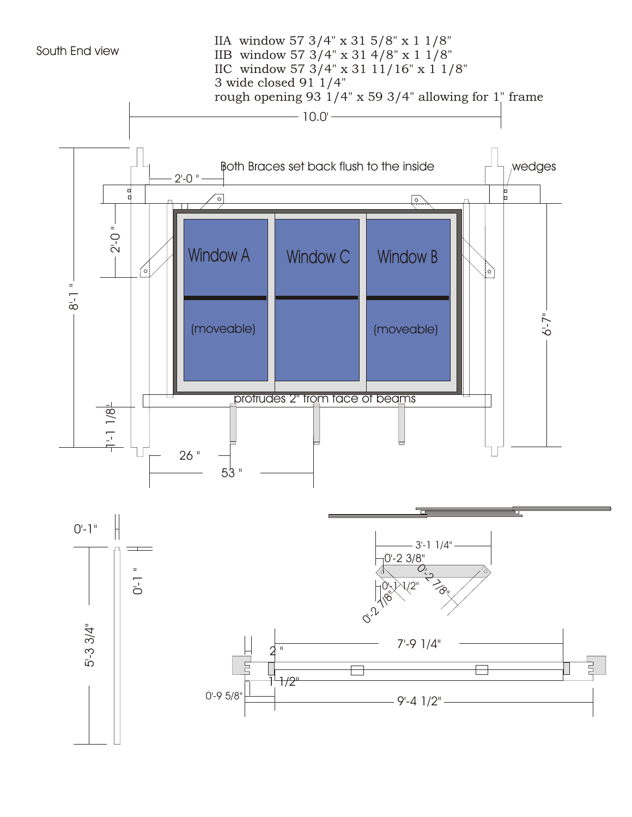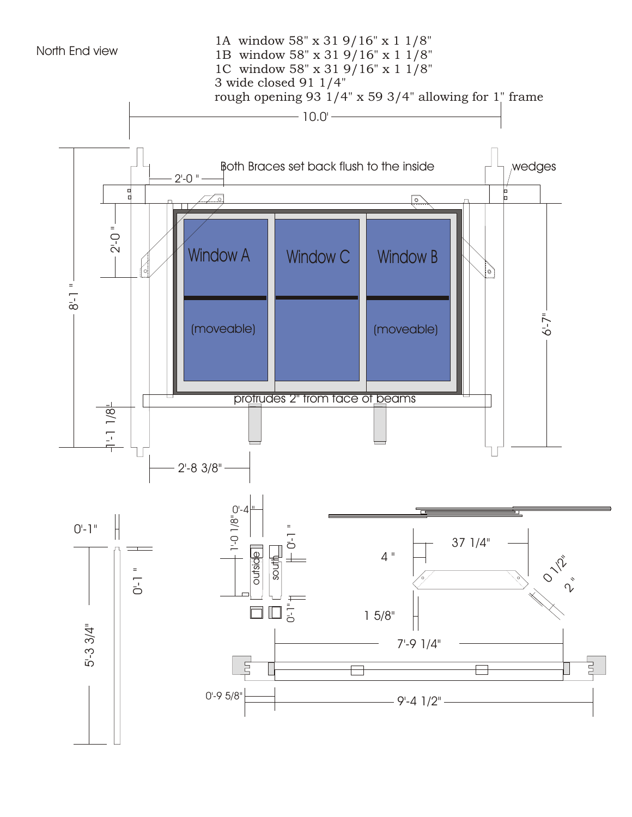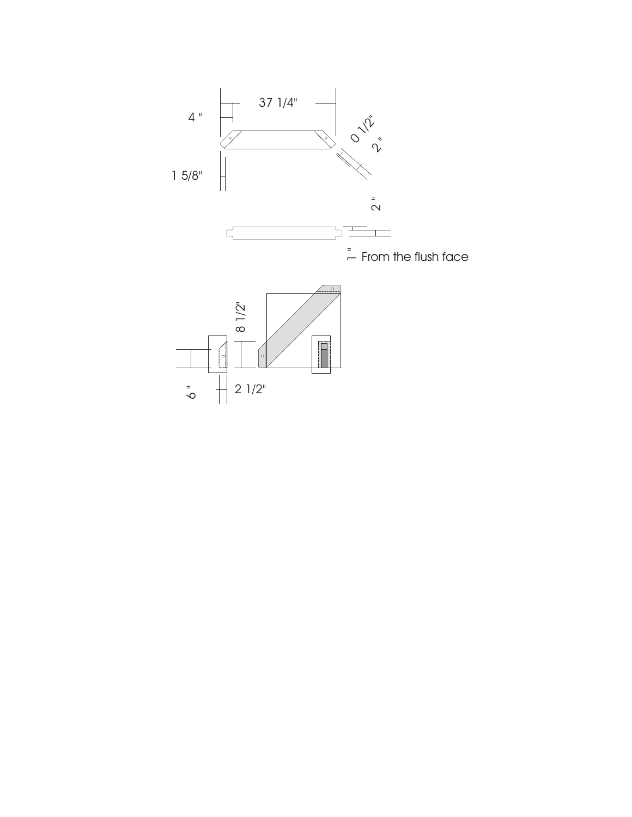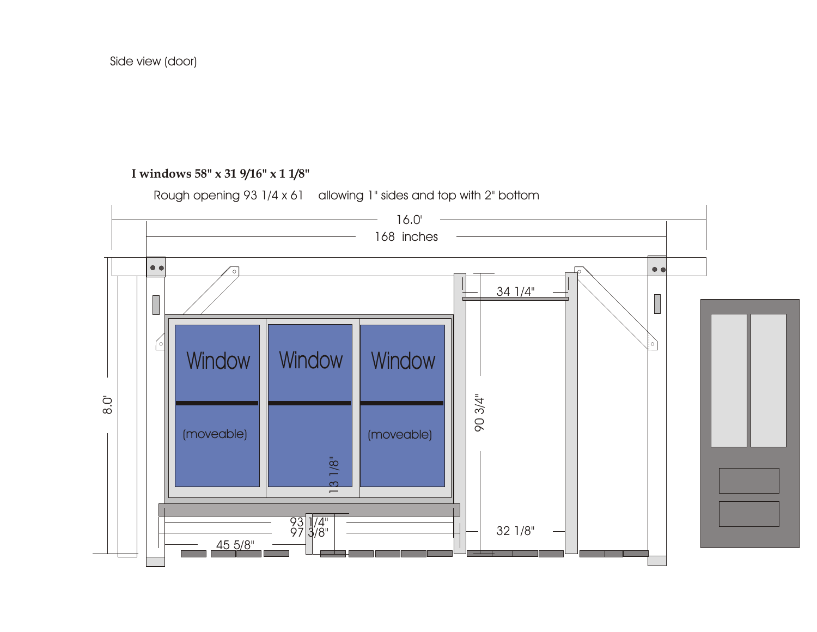## **I windows 58" x 31 9/16" x 1 1/8"**



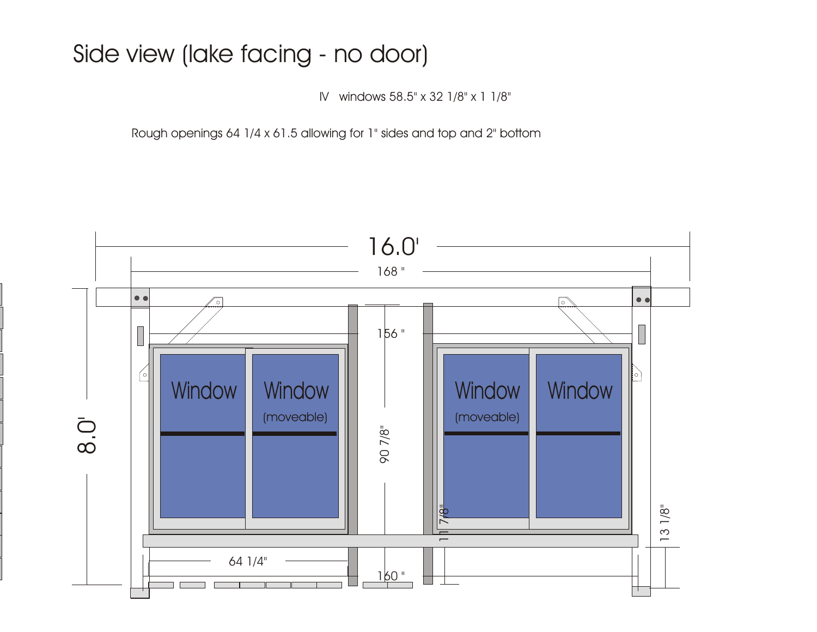## Side view (lake facing - no door)

IV windows 58.5" x 32 1/8" x 1 1/8"

Rough openings 64 1/4 x 61.5 allowing for 1" sides and top and 2" bottom

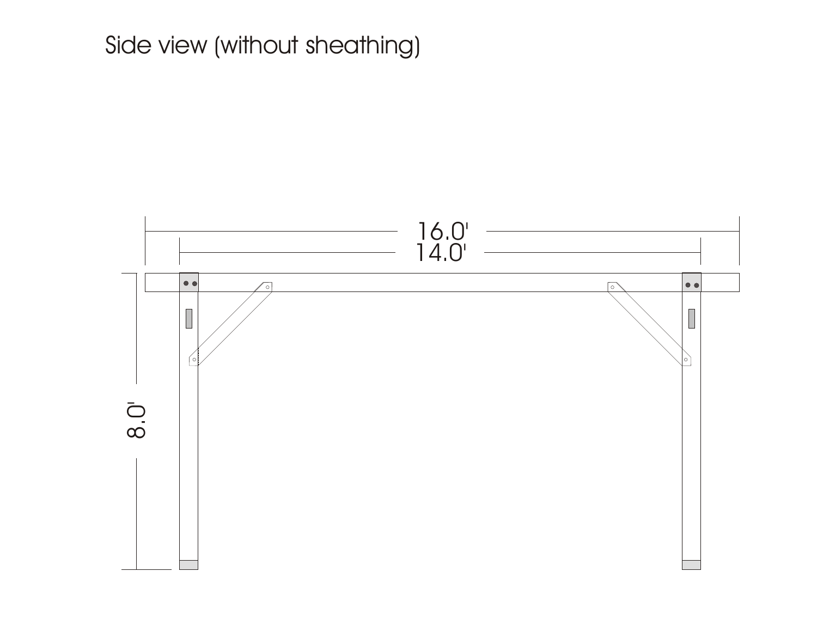## Side view (without sheathing)

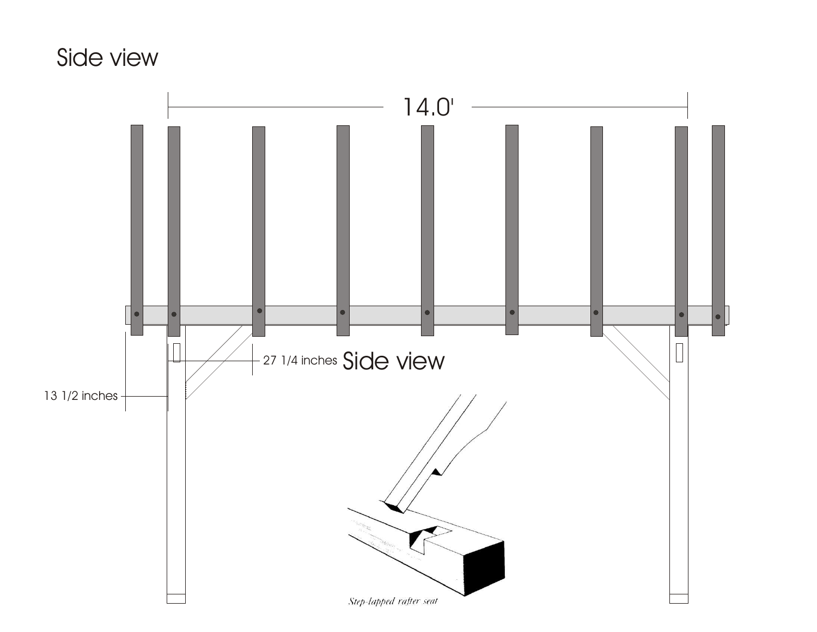## Side view